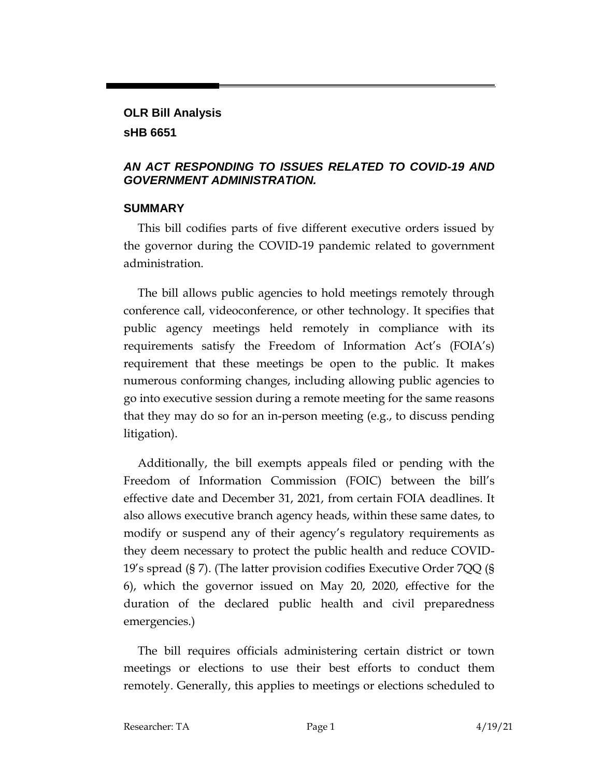# **OLR Bill Analysis sHB 6651**

#### *AN ACT RESPONDING TO ISSUES RELATED TO COVID-19 AND GOVERNMENT ADMINISTRATION.*

#### **SUMMARY**

This bill codifies parts of five different executive orders issued by the governor during the COVID-19 pandemic related to government administration.

The bill allows public agencies to hold meetings remotely through conference call, videoconference, or other technology. It specifies that public agency meetings held remotely in compliance with its requirements satisfy the Freedom of Information Act's (FOIA's) requirement that these meetings be open to the public. It makes numerous conforming changes, including allowing public agencies to go into executive session during a remote meeting for the same reasons that they may do so for an in-person meeting (e.g., to discuss pending litigation).

Additionally, the bill exempts appeals filed or pending with the Freedom of Information Commission (FOIC) between the bill's effective date and December 31, 2021, from certain FOIA deadlines. It also allows executive branch agency heads, within these same dates, to modify or suspend any of their agency's regulatory requirements as they deem necessary to protect the public health and reduce COVID-19's spread (§ 7). (The latter provision codifies Executive Order 7QQ (§ 6), which the governor issued on May 20, 2020, effective for the duration of the declared public health and civil preparedness emergencies.)

The bill requires officials administering certain district or town meetings or elections to use their best efforts to conduct them remotely. Generally, this applies to meetings or elections scheduled to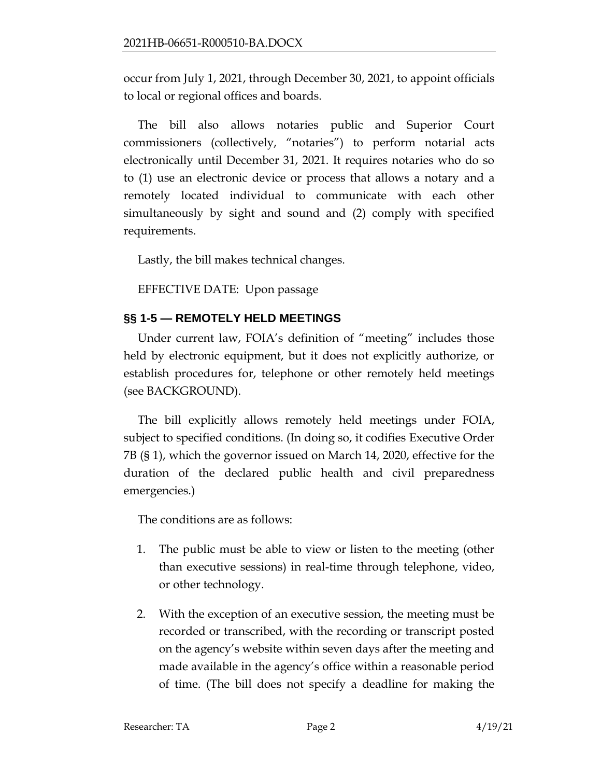occur from July 1, 2021, through December 30, 2021, to appoint officials to local or regional offices and boards.

The bill also allows notaries public and Superior Court commissioners (collectively, "notaries") to perform notarial acts electronically until December 31, 2021. It requires notaries who do so to (1) use an electronic device or process that allows a notary and a remotely located individual to communicate with each other simultaneously by sight and sound and (2) comply with specified requirements.

Lastly, the bill makes technical changes.

EFFECTIVE DATE: Upon passage

# **§§ 1-5 — REMOTELY HELD MEETINGS**

Under current law, FOIA's definition of "meeting" includes those held by electronic equipment, but it does not explicitly authorize, or establish procedures for, telephone or other remotely held meetings (see BACKGROUND).

The bill explicitly allows remotely held meetings under FOIA, subject to specified conditions. (In doing so, it codifies Executive Order 7B (§ 1), which the governor issued on March 14, 2020, effective for the duration of the declared public health and civil preparedness emergencies.)

The conditions are as follows:

- 1. The public must be able to view or listen to the meeting (other than executive sessions) in real-time through telephone, video, or other technology.
- 2. With the exception of an executive session, the meeting must be recorded or transcribed, with the recording or transcript posted on the agency's website within seven days after the meeting and made available in the agency's office within a reasonable period of time. (The bill does not specify a deadline for making the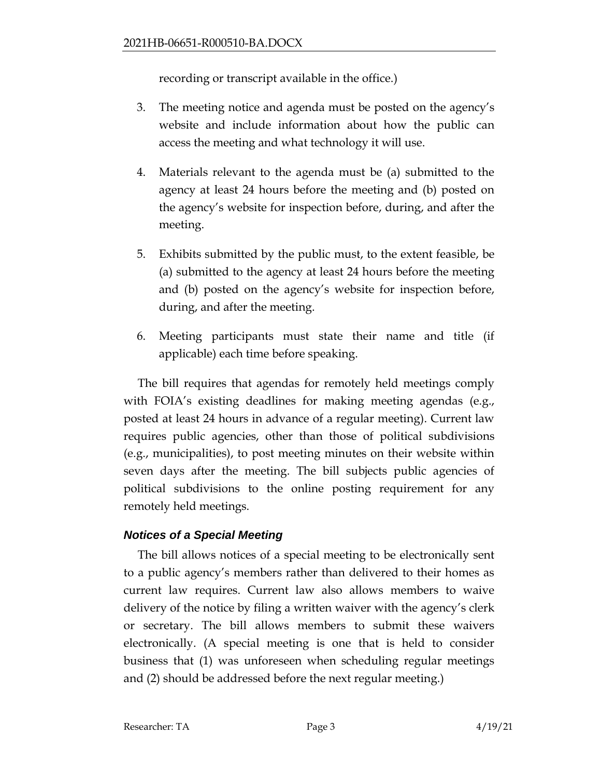recording or transcript available in the office.)

- 3. The meeting notice and agenda must be posted on the agency's website and include information about how the public can access the meeting and what technology it will use.
- 4. Materials relevant to the agenda must be (a) submitted to the agency at least 24 hours before the meeting and (b) posted on the agency's website for inspection before, during, and after the meeting.
- 5. Exhibits submitted by the public must, to the extent feasible, be (a) submitted to the agency at least 24 hours before the meeting and (b) posted on the agency's website for inspection before, during, and after the meeting.
- 6. Meeting participants must state their name and title (if applicable) each time before speaking.

The bill requires that agendas for remotely held meetings comply with FOIA's existing deadlines for making meeting agendas (e.g., posted at least 24 hours in advance of a regular meeting). Current law requires public agencies, other than those of political subdivisions (e.g., municipalities), to post meeting minutes on their website within seven days after the meeting. The bill subjects public agencies of political subdivisions to the online posting requirement for any remotely held meetings.

## *Notices of a Special Meeting*

The bill allows notices of a special meeting to be electronically sent to a public agency's members rather than delivered to their homes as current law requires. Current law also allows members to waive delivery of the notice by filing a written waiver with the agency's clerk or secretary. The bill allows members to submit these waivers electronically. (A special meeting is one that is held to consider business that (1) was unforeseen when scheduling regular meetings and (2) should be addressed before the next regular meeting.)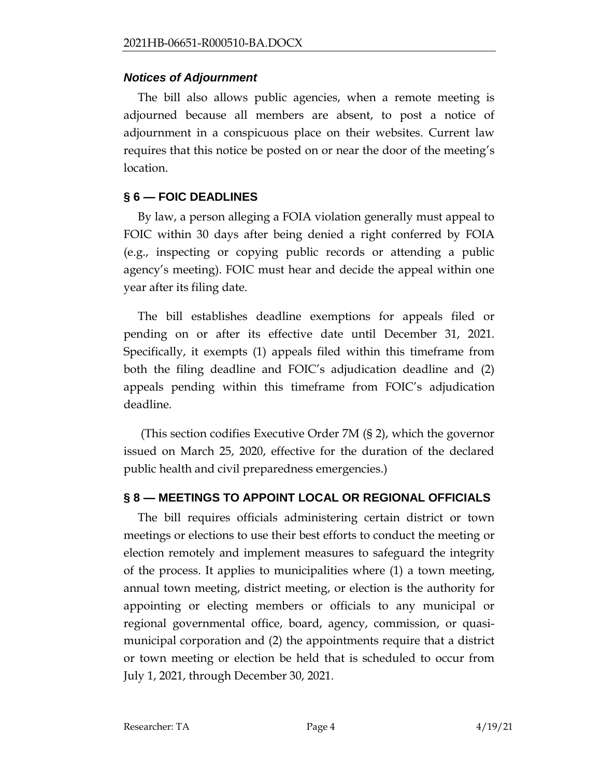#### *Notices of Adjournment*

The bill also allows public agencies, when a remote meeting is adjourned because all members are absent, to post a notice of adjournment in a conspicuous place on their websites. Current law requires that this notice be posted on or near the door of the meeting's location.

## **§ 6 — FOIC DEADLINES**

By law, a person alleging a FOIA violation generally must appeal to FOIC within 30 days after being denied a right conferred by FOIA (e.g., inspecting or copying public records or attending a public agency's meeting). FOIC must hear and decide the appeal within one year after its filing date.

The bill establishes deadline exemptions for appeals filed or pending on or after its effective date until December 31, 2021. Specifically, it exempts (1) appeals filed within this timeframe from both the filing deadline and FOIC's adjudication deadline and (2) appeals pending within this timeframe from FOIC's adjudication deadline.

(This section codifies Executive Order 7M (§ 2), which the governor issued on March 25, 2020, effective for the duration of the declared public health and civil preparedness emergencies.)

## **§ 8 — MEETINGS TO APPOINT LOCAL OR REGIONAL OFFICIALS**

The bill requires officials administering certain district or town meetings or elections to use their best efforts to conduct the meeting or election remotely and implement measures to safeguard the integrity of the process. It applies to municipalities where (1) a town meeting, annual town meeting, district meeting, or election is the authority for appointing or electing members or officials to any municipal or regional governmental office, board, agency, commission, or quasimunicipal corporation and (2) the appointments require that a district or town meeting or election be held that is scheduled to occur from July 1, 2021, through December 30, 2021.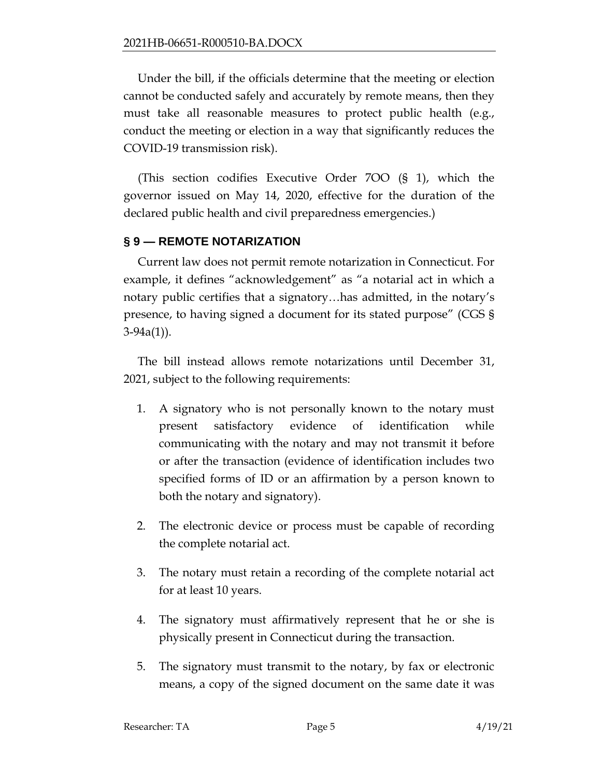Under the bill, if the officials determine that the meeting or election cannot be conducted safely and accurately by remote means, then they must take all reasonable measures to protect public health (e.g., conduct the meeting or election in a way that significantly reduces the COVID-19 transmission risk).

(This section codifies Executive Order 7OO (§ 1), which the governor issued on May 14, 2020, effective for the duration of the declared public health and civil preparedness emergencies.)

### **§ 9 — REMOTE NOTARIZATION**

Current law does not permit remote notarization in Connecticut. For example, it defines "acknowledgement" as "a notarial act in which a notary public certifies that a signatory…has admitted, in the notary's presence, to having signed a document for its stated purpose" (CGS § 3-94a(1)).

The bill instead allows remote notarizations until December 31, 2021, subject to the following requirements:

- 1. A signatory who is not personally known to the notary must present satisfactory evidence of identification while communicating with the notary and may not transmit it before or after the transaction (evidence of identification includes two specified forms of ID or an affirmation by a person known to both the notary and signatory).
- 2. The electronic device or process must be capable of recording the complete notarial act.
- 3. The notary must retain a recording of the complete notarial act for at least 10 years.
- 4. The signatory must affirmatively represent that he or she is physically present in Connecticut during the transaction.
- 5. The signatory must transmit to the notary, by fax or electronic means, a copy of the signed document on the same date it was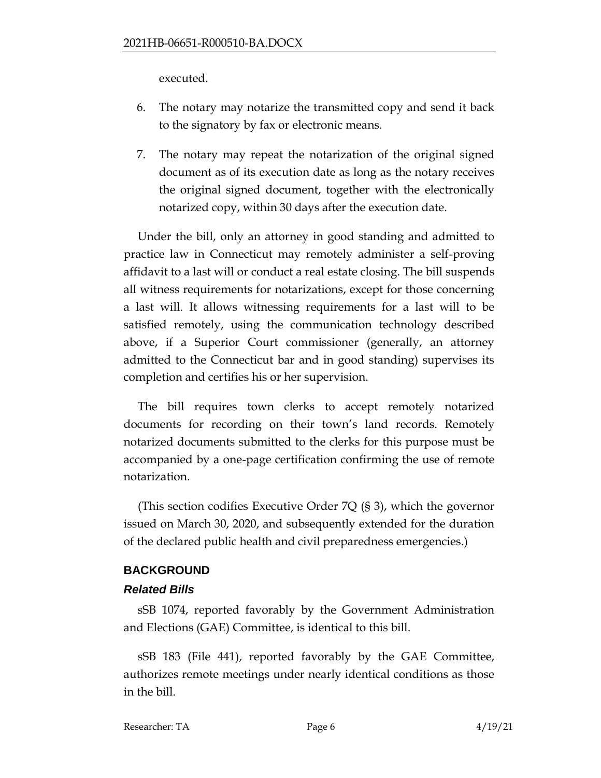executed.

- 6. The notary may notarize the transmitted copy and send it back to the signatory by fax or electronic means.
- 7. The notary may repeat the notarization of the original signed document as of its execution date as long as the notary receives the original signed document, together with the electronically notarized copy, within 30 days after the execution date.

Under the bill, only an attorney in good standing and admitted to practice law in Connecticut may remotely administer a self-proving affidavit to a last will or conduct a real estate closing. The bill suspends all witness requirements for notarizations, except for those concerning a last will. It allows witnessing requirements for a last will to be satisfied remotely, using the communication technology described above, if a Superior Court commissioner (generally, an attorney admitted to the Connecticut bar and in good standing) supervises its completion and certifies his or her supervision.

The bill requires town clerks to accept remotely notarized documents for recording on their town's land records. Remotely notarized documents submitted to the clerks for this purpose must be accompanied by a one-page certification confirming the use of remote notarization.

(This section codifies Executive Order 7Q (§ 3), which the governor issued on March 30, 2020, and subsequently extended for the duration of the declared public health and civil preparedness emergencies.)

#### **BACKGROUND**

#### *Related Bills*

sSB 1074, reported favorably by the Government Administration and Elections (GAE) Committee, is identical to this bill.

sSB 183 (File 441), reported favorably by the GAE Committee, authorizes remote meetings under nearly identical conditions as those in the bill.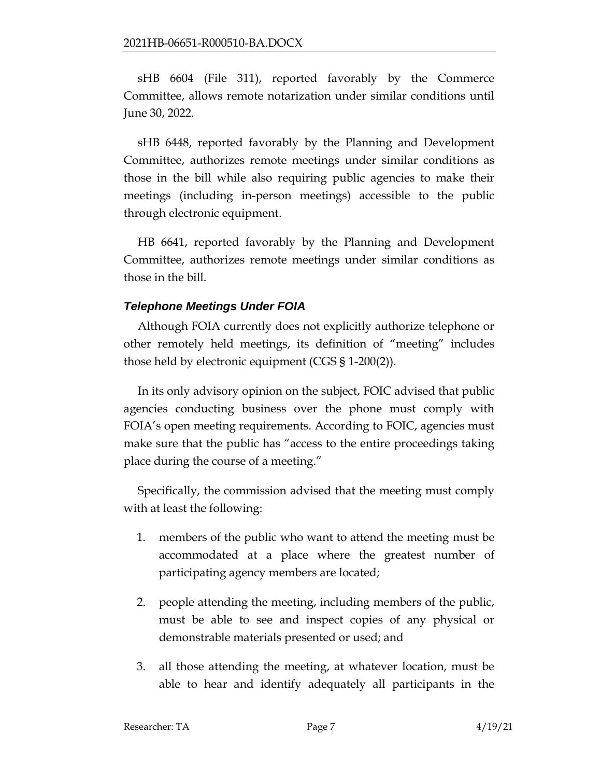sHB 6604 (File 311), reported favorably by the Commerce Committee, allows remote notarization under similar conditions until June 30, 2022.

sHB 6448, reported favorably by the Planning and Development Committee, authorizes remote meetings under similar conditions as those in the bill while also requiring public agencies to make their meetings (including in-person meetings) accessible to the public through electronic equipment.

HB 6641, reported favorably by the Planning and Development Committee, authorizes remote meetings under similar conditions as those in the bill.

## *Telephone Meetings Under FOIA*

Although FOIA currently does not explicitly authorize telephone or other remotely held meetings, its definition of "meeting" includes those held by electronic equipment (CGS § 1-200(2)).

In its only advisory opinion on the subject, FOIC advised that public agencies conducting business over the phone must comply with FOIA's open meeting requirements. According to FOIC, agencies must make sure that the public has "access to the entire proceedings taking place during the course of a meeting."

Specifically, the commission advised that the meeting must comply with at least the following:

- 1. members of the public who want to attend the meeting must be accommodated at a place where the greatest number of participating agency members are located;
- 2. people attending the meeting, including members of the public, must be able to see and inspect copies of any physical or demonstrable materials presented or used; and
- 3. all those attending the meeting, at whatever location, must be able to hear and identify adequately all participants in the